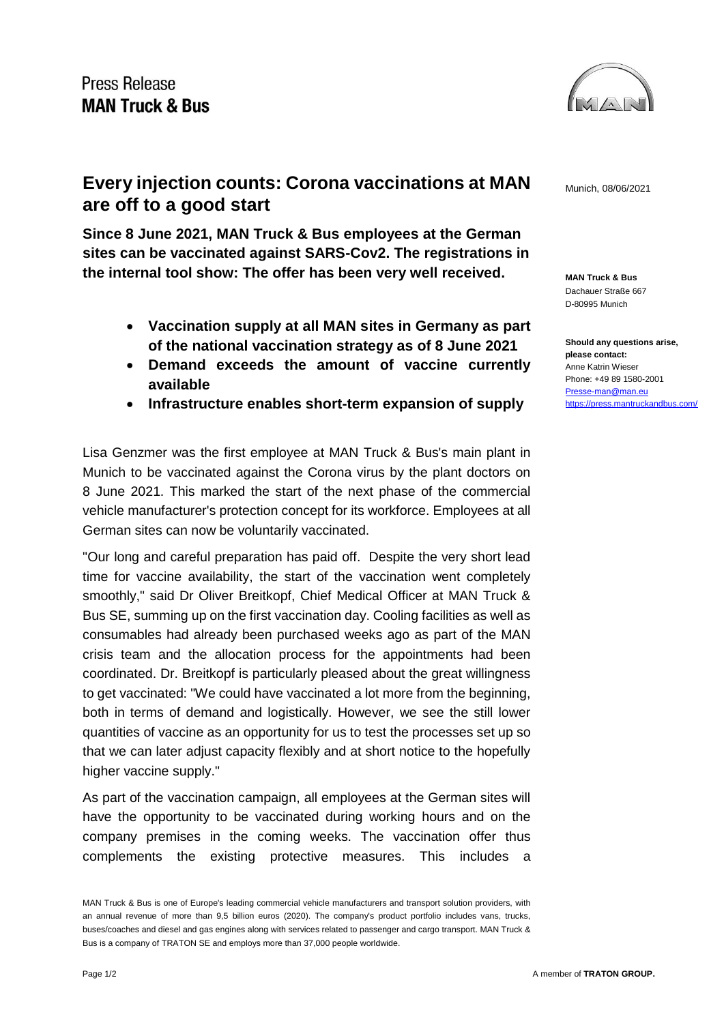

**MAN Truck & Bus** Dachauer Straße 667 D-80995 Munich

**Should any questions arise, please contact:** Anne Katrin Wieser Phone: +49 89 1580-2001 [Presse-man@man.eu](mailto:Presse-man@man.eu) <https://press.mantruckandbus.com/>

## **Every injection counts: Corona vaccinations at MAN**  $_{\text{Munich. 08/06/2021}}$ **are off to a good start**

**Since 8 June 2021, MAN Truck & Bus employees at the German sites can be vaccinated against SARS-Cov2. The registrations in the internal tool show: The offer has been very well received.**

- **Vaccination supply at all MAN sites in Germany as part of the national vaccination strategy as of 8 June 2021**
- **Demand exceeds the amount of vaccine currently available**
- **Infrastructure enables short-term expansion of supply**

Lisa Genzmer was the first employee at MAN Truck & Bus's main plant in Munich to be vaccinated against the Corona virus by the plant doctors on 8 June 2021. This marked the start of the next phase of the commercial vehicle manufacturer's protection concept for its workforce. Employees at all German sites can now be voluntarily vaccinated.

"Our long and careful preparation has paid off. Despite the very short lead time for vaccine availability, the start of the vaccination went completely smoothly," said Dr Oliver Breitkopf, Chief Medical Officer at MAN Truck & Bus SE, summing up on the first vaccination day. Cooling facilities as well as consumables had already been purchased weeks ago as part of the MAN crisis team and the allocation process for the appointments had been coordinated. Dr. Breitkopf is particularly pleased about the great willingness to get vaccinated: "We could have vaccinated a lot more from the beginning, both in terms of demand and logistically. However, we see the still lower quantities of vaccine as an opportunity for us to test the processes set up so that we can later adjust capacity flexibly and at short notice to the hopefully higher vaccine supply."

As part of the vaccination campaign, all employees at the German sites will have the opportunity to be vaccinated during working hours and on the company premises in the coming weeks. The vaccination offer thus complements the existing protective measures. This includes a

MAN Truck & Bus is one of Europe's leading commercial vehicle manufacturers and transport solution providers, with an annual revenue of more than 9,5 billion euros (2020). The company's product portfolio includes vans, trucks, buses/coaches and diesel and gas engines along with services related to passenger and cargo transport. MAN Truck & Bus is a company of TRATON SE and employs more than 37,000 people worldwide.